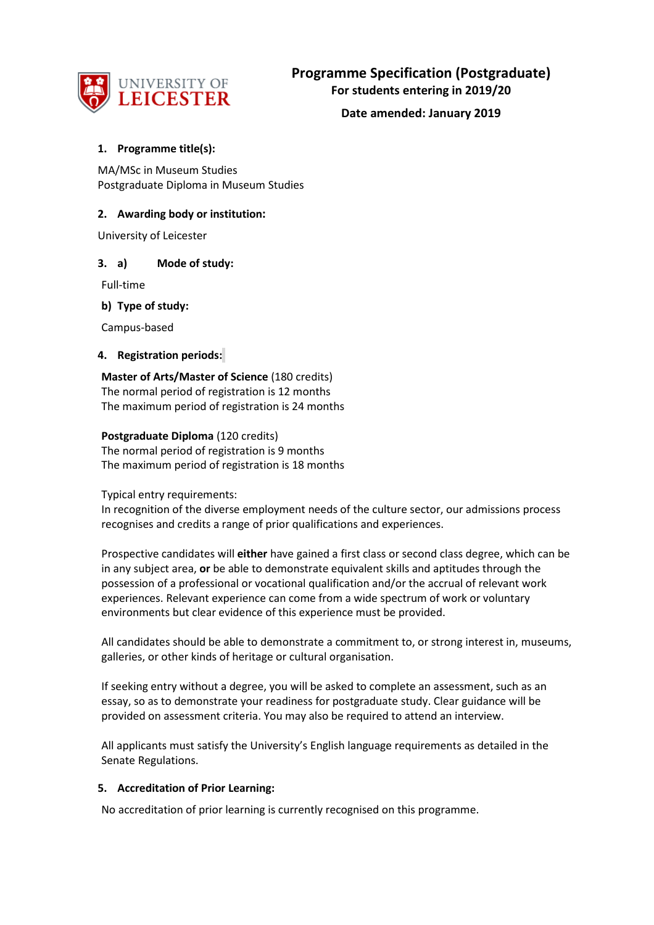

## **1. Programme title(s):**

MA/MSc in Museum Studies Postgraduate Diploma in Museum Studies

# **2. Awarding body or institution:**

University of Leicester

## **3. a) Mode of study:**

Full-time

## **b) Type of study:**

Campus-based

## **4. Registration periods:**

**Master of Arts/Master of Science** (180 credits) The normal period of registration is 12 months The maximum period of registration is 24 months

## **Postgraduate Diploma** (120 credits)

The normal period of registration is 9 months The maximum period of registration is 18 months

Typical entry requirements:

In recognition of the diverse employment needs of the culture sector, our admissions process recognises and credits a range of prior qualifications and experiences.

Prospective candidates will **either** have gained a first class or second class degree, which can be in any subject area, **or** be able to demonstrate equivalent skills and aptitudes through the possession of a professional or vocational qualification and/or the accrual of relevant work experiences. Relevant experience can come from a wide spectrum of work or voluntary environments but clear evidence of this experience must be provided.

All candidates should be able to demonstrate a commitment to, or strong interest in, museums, galleries, or other kinds of heritage or cultural organisation.

If seeking entry without a degree, you will be asked to complete an assessment, such as an essay, so as to demonstrate your readiness for postgraduate study. Clear guidance will be provided on assessment criteria. You may also be required to attend an interview.

All applicants must satisfy the University's English language requirements as detailed in the Senate Regulations.

### **5. Accreditation of Prior Learning:**

No accreditation of prior learning is currently recognised on this programme.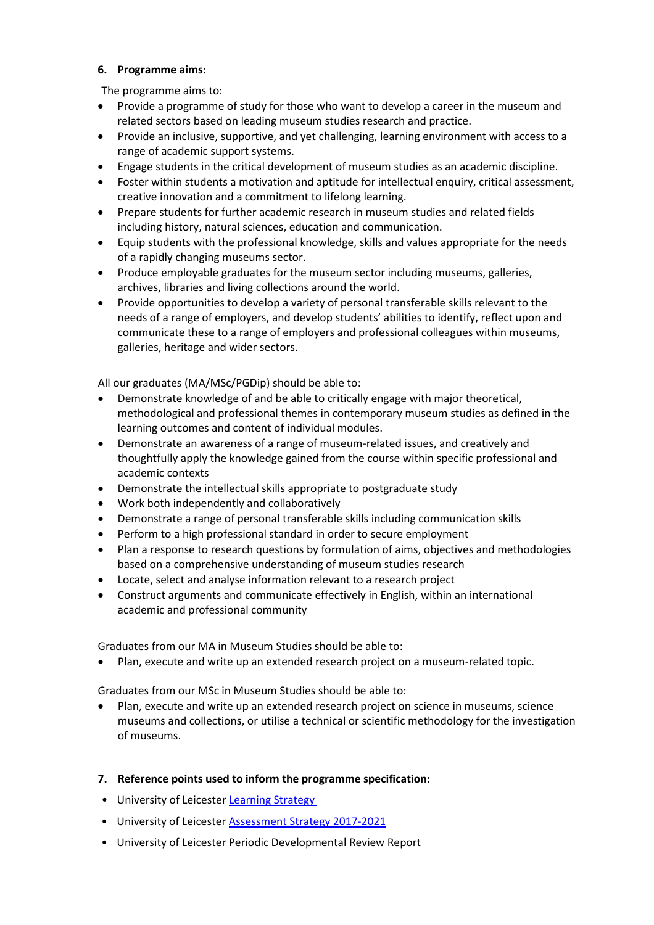## **6. Programme aims:**

The programme aims to:

- Provide a programme of study for those who want to develop a career in the museum and related sectors based on leading museum studies research and practice.
- Provide an inclusive, supportive, and yet challenging, learning environment with access to a range of academic support systems.
- Engage students in the critical development of museum studies as an academic discipline.
- Foster within students a motivation and aptitude for intellectual enquiry, critical assessment, creative innovation and a commitment to lifelong learning.
- Prepare students for further academic research in museum studies and related fields including history, natural sciences, education and communication.
- Equip students with the professional knowledge, skills and values appropriate for the needs of a rapidly changing museums sector.
- Produce employable graduates for the museum sector including museums, galleries, archives, libraries and living collections around the world.
- Provide opportunities to develop a variety of personal transferable skills relevant to the needs of a range of employers, and develop students' abilities to identify, reflect upon and communicate these to a range of employers and professional colleagues within museums, galleries, heritage and wider sectors.

All our graduates (MA/MSc/PGDip) should be able to:

- Demonstrate knowledge of and be able to critically engage with major theoretical, methodological and professional themes in contemporary museum studies as defined in the learning outcomes and content of individual modules.
- Demonstrate an awareness of a range of museum-related issues, and creatively and thoughtfully apply the knowledge gained from the course within specific professional and academic contexts
- Demonstrate the intellectual skills appropriate to postgraduate study
- Work both independently and collaboratively
- Demonstrate a range of personal transferable skills including communication skills
- Perform to a high professional standard in order to secure employment
- Plan a response to research questions by formulation of aims, objectives and methodologies based on a comprehensive understanding of museum studies research
- Locate, select and analyse information relevant to a research project
- Construct arguments and communicate effectively in English, within an international academic and professional community

Graduates from our MA in Museum Studies should be able to:

• Plan, execute and write up an extended research project on a museum-related topic.

Graduates from our MSc in Museum Studies should be able to:

- Plan, execute and write up an extended research project on science in museums, science museums and collections, or utilise a technical or scientific methodology for the investigation of museums.
- **7. Reference points used to inform the programme specification:**
- University of Leicester Learning Strategy
- University of Leicester **Assessment Strategy 2017-2021**
- University of Leicester Periodic Developmental Review Report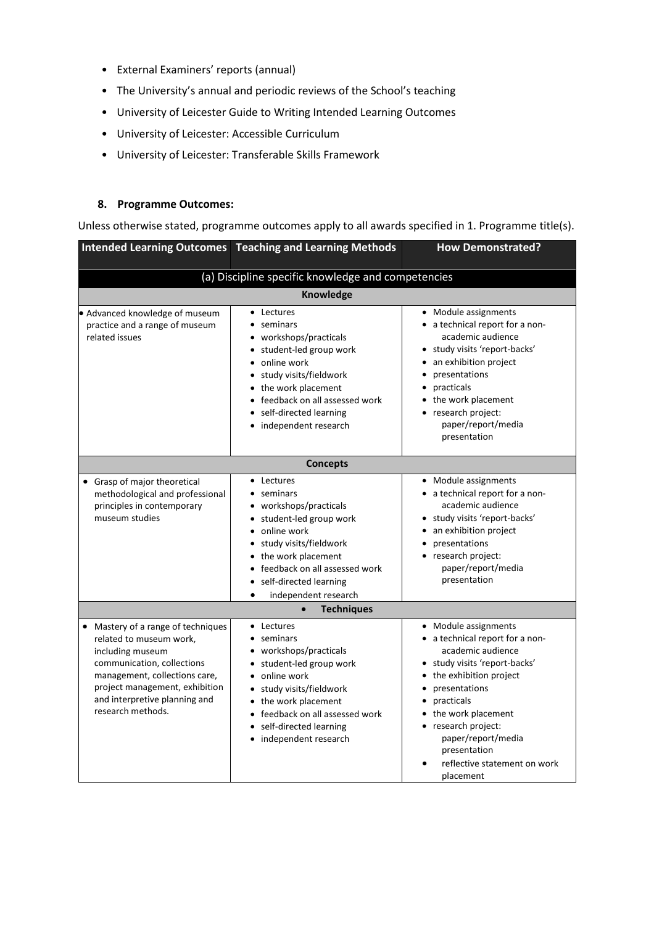- External Examiners' reports (annual)
- The University's annual and periodic reviews of the School's teaching
- University of Leicester Guide to Writing Intended Learning Outcomes
- University of Leicester: Accessible Curriculum
- University of Leicester: Transferable Skills Framework

### **8. Programme Outcomes:**

Unless otherwise stated, programme outcomes apply to all awards specified in 1. Programme title(s).

|                                                                                                                                                                                                                                          | <b>Intended Learning Outcomes   Teaching and Learning Methods</b>                                                                                                                                                                                  | <b>How Demonstrated?</b>                                                                                                                                                                                                                                                                                                |  |  |  |  |
|------------------------------------------------------------------------------------------------------------------------------------------------------------------------------------------------------------------------------------------|----------------------------------------------------------------------------------------------------------------------------------------------------------------------------------------------------------------------------------------------------|-------------------------------------------------------------------------------------------------------------------------------------------------------------------------------------------------------------------------------------------------------------------------------------------------------------------------|--|--|--|--|
| (a) Discipline specific knowledge and competencies                                                                                                                                                                                       |                                                                                                                                                                                                                                                    |                                                                                                                                                                                                                                                                                                                         |  |  |  |  |
| Knowledge                                                                                                                                                                                                                                |                                                                                                                                                                                                                                                    |                                                                                                                                                                                                                                                                                                                         |  |  |  |  |
| · Advanced knowledge of museum<br>practice and a range of museum<br>related issues                                                                                                                                                       | • Lectures<br>• seminars<br>• workshops/practicals<br>• student-led group work<br>online work<br>• study visits/fieldwork<br>• the work placement<br>• feedback on all assessed work<br>• self-directed learning<br>• independent research         | • Module assignments<br>• a technical report for a non-<br>academic audience<br>· study visits 'report-backs'<br>an exhibition project<br>presentations<br>practicals<br>• the work placement<br>• research project:<br>paper/report/media<br>presentation                                                              |  |  |  |  |
|                                                                                                                                                                                                                                          | <b>Concepts</b>                                                                                                                                                                                                                                    |                                                                                                                                                                                                                                                                                                                         |  |  |  |  |
| • Grasp of major theoretical<br>methodological and professional<br>principles in contemporary<br>museum studies                                                                                                                          | • Lectures<br>• seminars<br>• workshops/practicals<br>• student-led group work<br>• online work<br>· study visits/fieldwork<br>• the work placement<br>• feedback on all assessed work<br>self-directed learning<br>independent research           | • Module assignments<br>• a technical report for a non-<br>academic audience<br>· study visits 'report-backs'<br>• an exhibition project<br>presentations<br>• research project:<br>paper/report/media<br>presentation                                                                                                  |  |  |  |  |
|                                                                                                                                                                                                                                          | <b>Techniques</b>                                                                                                                                                                                                                                  |                                                                                                                                                                                                                                                                                                                         |  |  |  |  |
| • Mastery of a range of techniques<br>related to museum work,<br>including museum<br>communication, collections<br>management, collections care,<br>project management, exhibition<br>and interpretive planning and<br>research methods. | • Lectures<br>$\bullet$ seminars<br>• workshops/practicals<br>• student-led group work<br>• online work<br>• study visits/fieldwork<br>• the work placement<br>• feedback on all assessed work<br>self-directed learning<br>• independent research | • Module assignments<br>• a technical report for a non-<br>academic audience<br>· study visits 'report-backs'<br>• the exhibition project<br>presentations<br>$\bullet$<br>practicals<br>• the work placement<br>• research project:<br>paper/report/media<br>presentation<br>reflective statement on work<br>placement |  |  |  |  |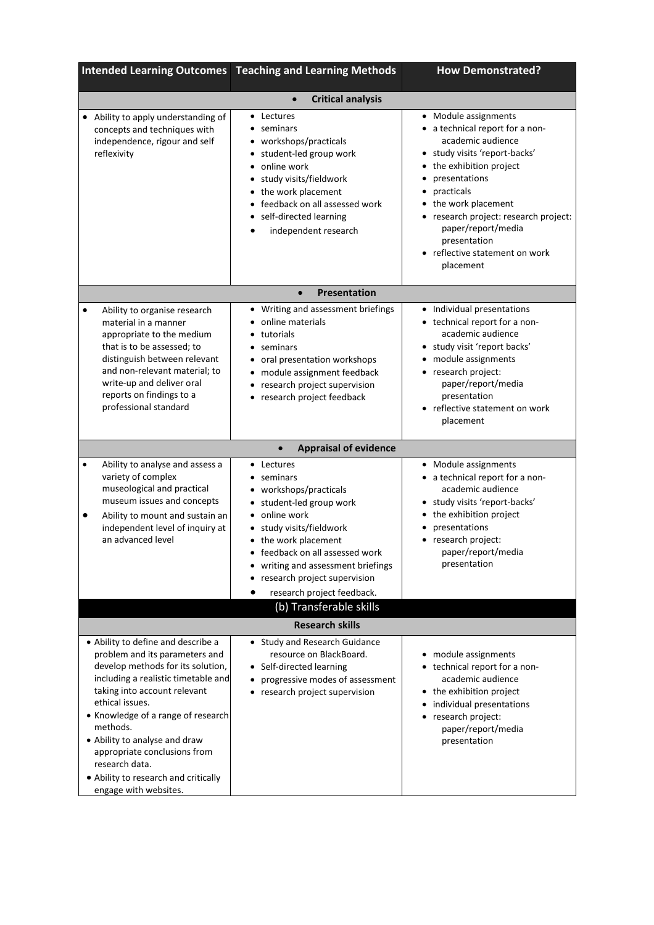|                                                                                                                                                                                                                                                                                                                                                                                                           | <b>Intended Learning Outcomes   Teaching and Learning Methods</b>                                                                                                                                                                                                                                               | <b>How Demonstrated?</b>                                                                                                                                                                                                                                                                                                |  |  |  |
|-----------------------------------------------------------------------------------------------------------------------------------------------------------------------------------------------------------------------------------------------------------------------------------------------------------------------------------------------------------------------------------------------------------|-----------------------------------------------------------------------------------------------------------------------------------------------------------------------------------------------------------------------------------------------------------------------------------------------------------------|-------------------------------------------------------------------------------------------------------------------------------------------------------------------------------------------------------------------------------------------------------------------------------------------------------------------------|--|--|--|
| <b>Critical analysis</b><br>$\bullet$                                                                                                                                                                                                                                                                                                                                                                     |                                                                                                                                                                                                                                                                                                                 |                                                                                                                                                                                                                                                                                                                         |  |  |  |
| • Ability to apply understanding of<br>concepts and techniques with<br>independence, rigour and self<br>reflexivity                                                                                                                                                                                                                                                                                       | • Lectures<br>seminars<br>• workshops/practicals<br>student-led group work<br>online work<br>$\bullet$<br>study visits/fieldwork<br>• the work placement<br>feedback on all assessed work<br>self-directed learning<br>independent research                                                                     | • Module assignments<br>a technical report for a non-<br>academic audience<br>study visits 'report-backs'<br>the exhibition project<br>presentations<br>practicals<br>the work placement<br>research project: research project:<br>٠<br>paper/report/media<br>presentation<br>reflective statement on work<br>placement |  |  |  |
|                                                                                                                                                                                                                                                                                                                                                                                                           | <b>Presentation</b><br>$\bullet$                                                                                                                                                                                                                                                                                |                                                                                                                                                                                                                                                                                                                         |  |  |  |
| Ability to organise research<br>$\bullet$<br>material in a manner<br>appropriate to the medium<br>that is to be assessed; to<br>distinguish between relevant<br>and non-relevant material; to<br>write-up and deliver oral<br>reports on findings to a<br>professional standard                                                                                                                           | • Writing and assessment briefings<br>online materials<br>tutorials<br>seminars<br>• oral presentation workshops<br>• module assignment feedback<br>research project supervision<br>$\bullet$<br>research project feedback<br>٠                                                                                 | Individual presentations<br>• technical report for a non-<br>academic audience<br>• study visit 'report backs'<br>module assignments<br>research project:<br>$\bullet$<br>paper/report/media<br>presentation<br>reflective statement on work<br>placement                                                               |  |  |  |
|                                                                                                                                                                                                                                                                                                                                                                                                           | <b>Appraisal of evidence</b><br>$\bullet$                                                                                                                                                                                                                                                                       |                                                                                                                                                                                                                                                                                                                         |  |  |  |
| Ability to analyse and assess a<br>$\bullet$<br>variety of complex<br>museological and practical<br>museum issues and concepts<br>Ability to mount and sustain an<br>$\bullet$<br>independent level of inquiry at<br>an advanced level                                                                                                                                                                    | • Lectures<br>• seminars<br>• workshops/practicals<br>• student-led group work<br>• online work<br>study visits/fieldwork<br>• the work placement<br>feedback on all assessed work<br>writing and assessment briefings<br>research project supervision<br>research project feedback.<br>(b) Transferable skills | • Module assignments<br>• a technical report for a non-<br>academic audience<br>study visits 'report-backs'<br>the exhibition project<br>presentations<br>research project:<br>٠<br>paper/report/media<br>presentation                                                                                                  |  |  |  |
| <b>Research skills</b>                                                                                                                                                                                                                                                                                                                                                                                    |                                                                                                                                                                                                                                                                                                                 |                                                                                                                                                                                                                                                                                                                         |  |  |  |
| • Ability to define and describe a<br>problem and its parameters and<br>develop methods for its solution,<br>including a realistic timetable and<br>taking into account relevant<br>ethical issues.<br>• Knowledge of a range of research<br>methods.<br>• Ability to analyse and draw<br>appropriate conclusions from<br>research data.<br>. Ability to research and critically<br>engage with websites. | • Study and Research Guidance<br>resource on BlackBoard.<br>• Self-directed learning<br>progressive modes of assessment<br>٠<br>• research project supervision                                                                                                                                                  | • module assignments<br>• technical report for a non-<br>academic audience<br>• the exhibition project<br>individual presentations<br>$\bullet$<br>research project:<br>paper/report/media<br>presentation                                                                                                              |  |  |  |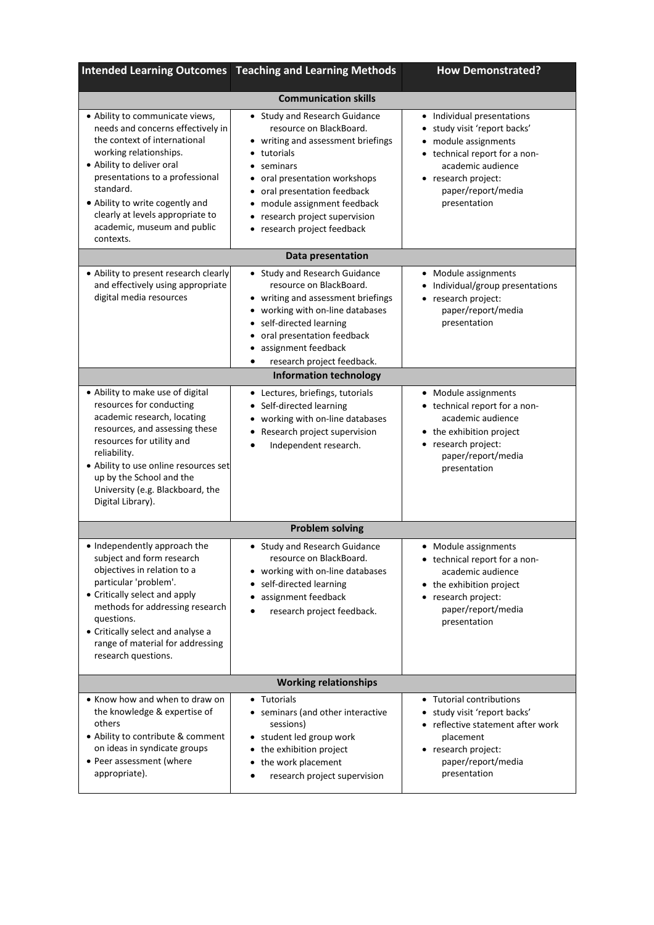| <b>Intended Learning Outcomes</b>                                                                                                                                                                                                                                                                                              | <b>Teaching and Learning Methods</b>                                                                                                                                                                                                                                                    | <b>How Demonstrated?</b>                                                                                                                                                                            |  |  |  |  |
|--------------------------------------------------------------------------------------------------------------------------------------------------------------------------------------------------------------------------------------------------------------------------------------------------------------------------------|-----------------------------------------------------------------------------------------------------------------------------------------------------------------------------------------------------------------------------------------------------------------------------------------|-----------------------------------------------------------------------------------------------------------------------------------------------------------------------------------------------------|--|--|--|--|
| <b>Communication skills</b>                                                                                                                                                                                                                                                                                                    |                                                                                                                                                                                                                                                                                         |                                                                                                                                                                                                     |  |  |  |  |
| • Ability to communicate views,<br>needs and concerns effectively in<br>the context of international<br>working relationships.<br>• Ability to deliver oral<br>presentations to a professional<br>standard.<br>. Ability to write cogently and<br>clearly at levels appropriate to<br>academic, museum and public<br>contexts. | • Study and Research Guidance<br>resource on BlackBoard.<br>• writing and assessment briefings<br>tutorials<br>• seminars<br>• oral presentation workshops<br>oral presentation feedback<br>• module assignment feedback<br>• research project supervision<br>research project feedback | • Individual presentations<br>study visit 'report backs'<br>• module assignments<br>• technical report for a non-<br>academic audience<br>• research project:<br>paper/report/media<br>presentation |  |  |  |  |
|                                                                                                                                                                                                                                                                                                                                | Data presentation                                                                                                                                                                                                                                                                       |                                                                                                                                                                                                     |  |  |  |  |
| • Ability to present research clearly<br>and effectively using appropriate<br>digital media resources                                                                                                                                                                                                                          | • Study and Research Guidance<br>resource on BlackBoard.<br>• writing and assessment briefings<br>working with on-line databases<br>$\bullet$<br>• self-directed learning<br>oral presentation feedback<br>assignment feedback<br>research project feedback.<br>٠                       | • Module assignments<br>Individual/group presentations<br>• research project:<br>paper/report/media<br>presentation                                                                                 |  |  |  |  |
|                                                                                                                                                                                                                                                                                                                                | <b>Information technology</b>                                                                                                                                                                                                                                                           |                                                                                                                                                                                                     |  |  |  |  |
| • Ability to make use of digital<br>resources for conducting<br>academic research, locating<br>resources, and assessing these<br>resources for utility and<br>reliability.<br>• Ability to use online resources set<br>up by the School and the<br>University (e.g. Blackboard, the<br>Digital Library).                       | • Lectures, briefings, tutorials<br>• Self-directed learning<br>working with on-line databases<br>Research project supervision<br>Independent research.                                                                                                                                 | • Module assignments<br>• technical report for a non-<br>academic audience<br>• the exhibition project<br>• research project:<br>paper/report/media<br>presentation                                 |  |  |  |  |
|                                                                                                                                                                                                                                                                                                                                | <b>Problem solving</b>                                                                                                                                                                                                                                                                  |                                                                                                                                                                                                     |  |  |  |  |
| • Independently approach the<br>subject and form research<br>objectives in relation to a<br>particular 'problem'.<br>• Critically select and apply<br>methods for addressing research<br>questions.<br>• Critically select and analyse a<br>range of material for addressing<br>research questions.                            | • Study and Research Guidance<br>resource on BlackBoard.<br>• working with on-line databases<br>self-directed learning<br>assignment feedback<br>research project feedback.                                                                                                             | • Module assignments<br>• technical report for a non-<br>academic audience<br>• the exhibition project<br>• research project:<br>paper/report/media<br>presentation                                 |  |  |  |  |
| <b>Working relationships</b>                                                                                                                                                                                                                                                                                                   |                                                                                                                                                                                                                                                                                         |                                                                                                                                                                                                     |  |  |  |  |
| • Know how and when to draw on<br>the knowledge & expertise of<br>others<br>• Ability to contribute & comment<br>on ideas in syndicate groups<br>• Peer assessment (where<br>appropriate).                                                                                                                                     | • Tutorials<br>• seminars (and other interactive<br>sessions)<br>• student led group work<br>• the exhibition project<br>• the work placement<br>research project supervision                                                                                                           | • Tutorial contributions<br>• study visit 'report backs'<br>• reflective statement after work<br>placement<br>• research project:<br>paper/report/media<br>presentation                             |  |  |  |  |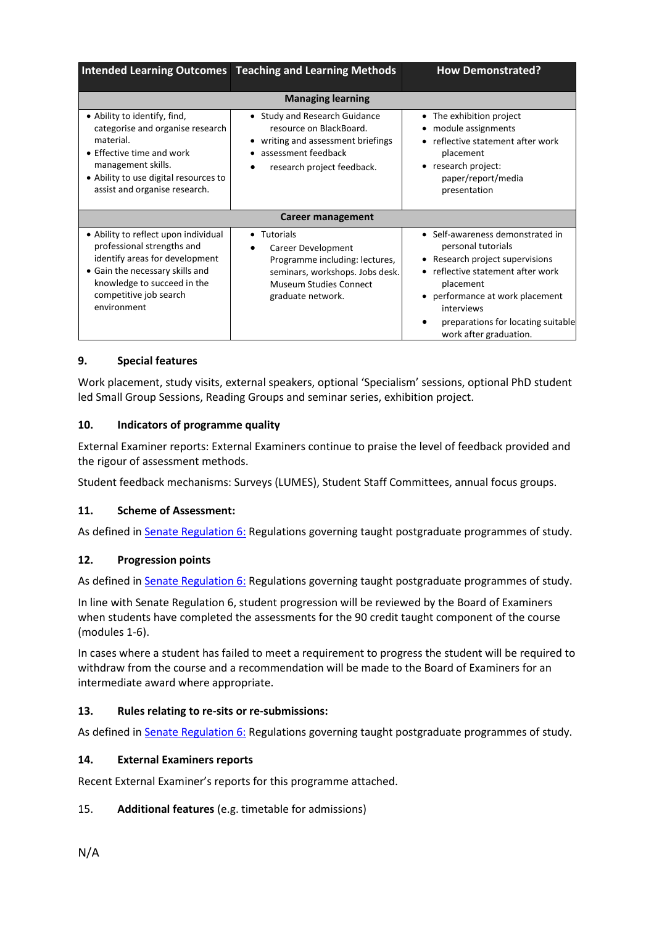|                                                                                                                                                                                                                    | Intended Learning Outcomes Teaching and Learning Methods                                                                                              | <b>How Demonstrated?</b>                                                                                                                                                                                                                                     |  |  |  |
|--------------------------------------------------------------------------------------------------------------------------------------------------------------------------------------------------------------------|-------------------------------------------------------------------------------------------------------------------------------------------------------|--------------------------------------------------------------------------------------------------------------------------------------------------------------------------------------------------------------------------------------------------------------|--|--|--|
| <b>Managing learning</b>                                                                                                                                                                                           |                                                                                                                                                       |                                                                                                                                                                                                                                                              |  |  |  |
| • Ability to identify, find,<br>categorise and organise research<br>material.<br>$\bullet$ Effective time and work<br>management skills.<br>• Ability to use digital resources to<br>assist and organise research. | • Study and Research Guidance<br>resource on BlackBoard.<br>• writing and assessment briefings<br>assessment feedback<br>research project feedback.   | • The exhibition project<br>module assignments<br>reflective statement after work<br>placement<br>• research project:<br>paper/report/media<br>presentation                                                                                                  |  |  |  |
| <b>Career management</b>                                                                                                                                                                                           |                                                                                                                                                       |                                                                                                                                                                                                                                                              |  |  |  |
| • Ability to reflect upon individual<br>professional strengths and<br>identify areas for development<br>• Gain the necessary skills and<br>knowledge to succeed in the<br>competitive job search<br>environment    | • Tutorials<br>Career Development<br>Programme including: lectures,<br>seminars, workshops. Jobs desk.<br>Museum Studies Connect<br>graduate network. | • Self-awareness demonstrated in<br>personal tutorials<br>• Research project supervisions<br>• reflective statement after work<br>placement<br>• performance at work placement<br>interviews<br>preparations for locating suitable<br>work after graduation. |  |  |  |

## **9. Special features**

Work placement, study visits, external speakers, optional 'Specialism' sessions, optional PhD student led Small Group Sessions, Reading Groups and seminar series, exhibition project.

## **10. Indicators of programme quality**

External Examiner reports: External Examiners continue to praise the level of feedback provided and the rigour of assessment methods.

Student feedback mechanisms: Surveys (LUMES), Student Staff Committees, annual focus groups.

### **11. Scheme of Assessment:**

As defined in **Senate Regulation 6:** Regulations governing taught postgraduate programmes of study.

### **12. Progression points**

As defined in **Senate Regulation 6:** Regulations governing taught postgraduate programmes of study.

In line with Senate Regulation 6, student progression will be reviewed by the Board of Examiners when students have completed the assessments for the 90 credit taught component of the course (modules 1-6).

In cases where a student has failed to meet a requirement to progress the student will be required to withdraw from the course and a recommendation will be made to the Board of Examiners for an intermediate award where appropriate.

### **13. Rules relating to re-sits or re-submissions:**

As defined in **Senate Regulation 6: Regulations governing taught postgraduate programmes of study.** 

### **14. External Examiners reports**

Recent External Examiner's reports for this programme attached.

### 15. **Additional features** (e.g. timetable for admissions)